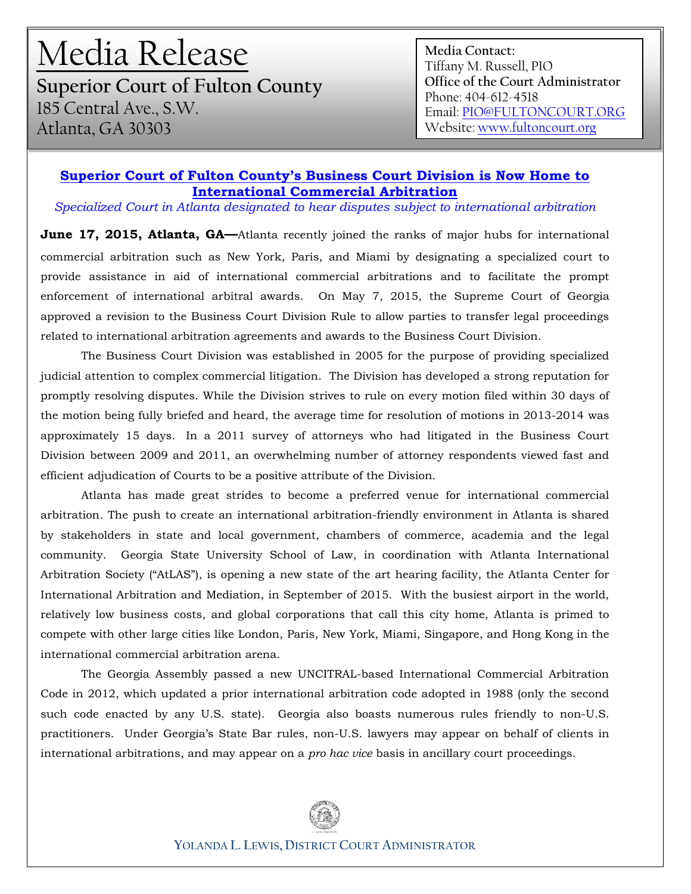## Media Release

**Superior Court of Fulton County**  185 Central Ave., S.W. Atlanta, GA 30303

**Media Contact:** Tiffany M. Russell, PIO **Office of the Court Administrator** Phone: 404-612-4518 Email[: PIO@FULTONCOURT.ORG](mailto:PIO@FULTONCOURT.ORG) Website[: www.fultoncourt.org](http://www.fultoncourt.org/) 

## **Superior Court of Fulton County's Business Court Division is Now Home to International Commercial Arbitration**

*Specialized Court in Atlanta designated to hear disputes subject to international arbitration*

June 17, 2015, Atlanta, GA-Atlanta recently joined the ranks of major hubs for international commercial arbitration such as New York, Paris, and Miami by designating a specialized court to provide assistance in aid of international commercial arbitrations and to facilitate the prompt enforcement of international arbitral awards. On May 7, 2015, the Supreme Court of Georgia approved a revision to the Business Court Division Rule to allow parties to transfer legal proceedings related to international arbitration agreements and awards to the Business Court Division.

The Business Court Division was established in 2005 for the purpose of providing specialized judicial attention to complex commercial litigation. The Division has developed a strong reputation for promptly resolving disputes. While the Division strives to rule on every motion filed within 30 days of the motion being fully briefed and heard, the average time for resolution of motions in 2013-2014 was approximately 15 days. In a 2011 survey of attorneys who had litigated in the Business Court Division between 2009 and 2011, an overwhelming number of attorney respondents viewed fast and efficient adjudication of Courts to be a positive attribute of the Division.

Atlanta has made great strides to become a preferred venue for international commercial arbitration. The push to create an international arbitration-friendly environment in Atlanta is shared by stakeholders in state and local government, chambers of commerce, academia and the legal community. Georgia State University School of Law, in coordination with Atlanta International Arbitration Society ("AtLAS"), is opening a new state of the art hearing facility, the Atlanta Center for International Arbitration and Mediation, in September of 2015. With the busiest airport in the world, relatively low business costs, and global corporations that call this city home, Atlanta is primed to compete with other large cities like London, Paris, New York, Miami, Singapore, and Hong Kong in the international commercial arbitration arena.

The Georgia Assembly passed a new UNCITRAL-based International Commercial Arbitration Code in 2012, which updated a prior international arbitration code adopted in 1988 (only the second such code enacted by any U.S. state). Georgia also boasts numerous rules friendly to non-U.S. practitioners. Under Georgia's State Bar rules, non-U.S. lawyers may appear on behalf of clients in international arbitrations, and may appear on a *pro hac vice* basis in ancillary court proceedings.